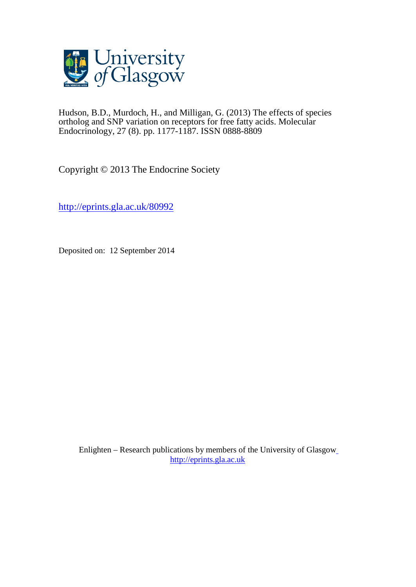

Hudson, B.D., Murdoch, H., and Milligan, G. (2013) The effects of species ortholog and SNP variation on receptors for free fatty acids. Molecular Endocrinology, 27 (8). pp. 1177-1187. ISSN 0888-8809

Copyright © 2013 The Endocrine Society

<http://eprints.gla.ac.uk/80992>

Deposited on: 12 September 2014

Enlighten – Research publications by members of the University of Glasgo[w](http://eprints.gla.ac.uk/) [http://eprints.gla.ac.uk](http://eprints.gla.ac.uk/)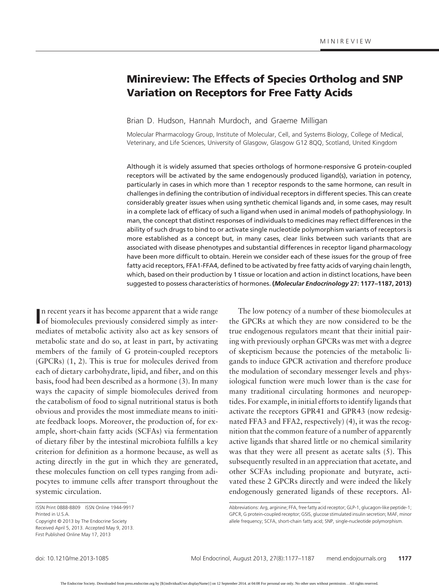# **Minireview: The Effects of Species Ortholog and SNP Variation on Receptors for Free Fatty Acids**

Brian D. Hudson, Hannah Murdoch, and Graeme Milligan

Molecular Pharmacology Group, Institute of Molecular, Cell, and Systems Biology, College of Medical, Veterinary, and Life Sciences, University of Glasgow, Glasgow G12 8QQ, Scotland, United Kingdom

Although it is widely assumed that species orthologs of hormone-responsive G protein-coupled receptors will be activated by the same endogenously produced ligand(s), variation in potency, particularly in cases in which more than 1 receptor responds to the same hormone, can result in challenges in defining the contribution of individual receptors in different species. This can create considerably greater issues when using synthetic chemical ligands and, in some cases, may result in a complete lack of efficacy of such a ligand when used in animal models of pathophysiology. In man, the concept that distinct responses of individuals to medicines may reflect differences in the ability of such drugs to bind to or activate single nucleotide polymorphism variants of receptors is more established as a concept but, in many cases, clear links between such variants that are associated with disease phenotypes and substantial differences in receptor ligand pharmacology have been more difficult to obtain. Herein we consider each of these issues for the group of free fatty acid receptors, FFA1-FFA4, defined to be activated by free fatty acids of varying chain length, which, based on their production by 1 tissue or location and action in distinct locations, have been suggested to possess characteristics of hormones. **(***Molecular Endocrinology* **27: 1177–1187, 2013)**

In recent years it has become apparent that a wide range of biomolecules previously considered simply as intern recent years it has become apparent that a wide range mediates of metabolic activity also act as key sensors of metabolic state and do so, at least in part, by activating members of the family of G protein-coupled receptors (GPCRs) (1, 2). This is true for molecules derived from each of dietary carbohydrate, lipid, and fiber, and on this basis, food had been described as a hormone (3). In many ways the capacity of simple biomolecules derived from the catabolism of food to signal nutritional status is both obvious and provides the most immediate means to initiate feedback loops. Moreover, the production of, for example, short-chain fatty acids (SCFAs) via fermentation of dietary fiber by the intestinal microbiota fulfills a key criterion for definition as a hormone because, as well as acting directly in the gut in which they are generated, these molecules function on cell types ranging from adipocytes to immune cells after transport throughout the systemic circulation.

The low potency of a number of these biomolecules at the GPCRs at which they are now considered to be the true endogenous regulators meant that their initial pairing with previously orphan GPCRs was met with a degree of skepticism because the potencies of the metabolic ligands to induce GPCR activation and therefore produce the modulation of secondary messenger levels and physiological function were much lower than is the case for many traditional circulating hormones and neuropeptides. For example, in initial efforts to identify ligands that activate the receptors GPR41 and GPR43 (now redesignated FFA3 and FFA2, respectively) (4), it was the recognition that the common feature of a number of apparently active ligands that shared little or no chemical similarity was that they were all present as acetate salts (5). This subsequently resulted in an appreciation that acetate, and other SCFAs including propionate and butyrate, activated these 2 GPCRs directly and were indeed the likely endogenously generated ligands of these receptors. Al-

ISSN Print 0888-8809 ISSN Online 1944-9917 Printed in U.S.A. Copyright © 2013 by The Endocrine Society Received April 5, 2013. Accepted May 9, 2013. First Published Online May 17, 2013

Abbreviations: Arg, arginine; FFA, free fatty acid receptor; GLP-1, glucagon-like peptide-1; GPCR, G protein-coupled receptor; GSIS, glucose stimulated insulin secretion; MAF, minor allele frequency; SCFA, short-chain fatty acid; SNP, single-nucleotide polymorphism.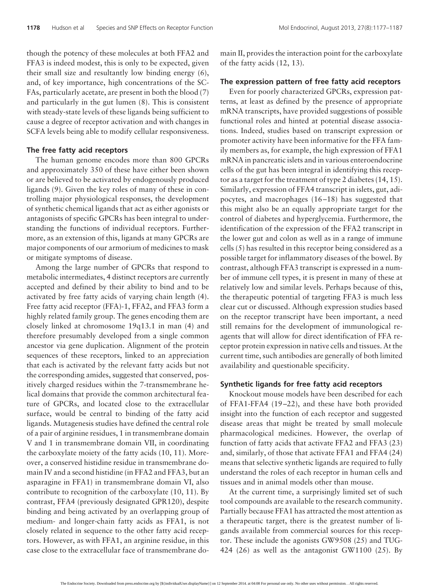though the potency of these molecules at both FFA2 and FFA3 is indeed modest, this is only to be expected, given their small size and resultantly low binding energy (6), and, of key importance, high concentrations of the SC-FAs, particularly acetate, are present in both the blood (7) and particularly in the gut lumen (8). This is consistent with steady-state levels of these ligands being sufficient to cause a degree of receptor activation and with changes in SCFA levels being able to modify cellular responsiveness.

### **The free fatty acid receptors**

The human genome encodes more than 800 GPCRs and approximately 350 of these have either been shown or are believed to be activated by endogenously produced ligands (9). Given the key roles of many of these in controlling major physiological responses, the development of synthetic chemical ligands that act as either agonists or antagonists of specific GPCRs has been integral to understanding the functions of individual receptors. Furthermore, as an extension of this, ligands at many GPCRs are major components of our armorium of medicines to mask or mitigate symptoms of disease.

Among the large number of GPCRs that respond to metabolic intermediates, 4 distinct receptors are currently accepted and defined by their ability to bind and to be activated by free fatty acids of varying chain length (4). Free fatty acid receptor (FFA)-1, FFA2, and FFA3 form a highly related family group. The genes encoding them are closely linked at chromosome 19q13.1 in man (4) and therefore presumably developed from a single common ancestor via gene duplication. Alignment of the protein sequences of these receptors, linked to an appreciation that each is activated by the relevant fatty acids but not the corresponding amides, suggested that conserved, positively charged residues within the 7-transmembrane helical domains that provide the common architectural feature of GPCRs, and located close to the extracellular surface, would be central to binding of the fatty acid ligands. Mutagenesis studies have defined the central role of a pair of arginine residues, 1 in transmembrane domain V and 1 in transmembrane domain VII, in coordinating the carboxylate moiety of the fatty acids (10, 11). Moreover, a conserved histidine residue in transmembrane domain IV and a second histidine (in FFA2 and FFA3, but an asparagine in FFA1) in transmembrane domain VI, also contribute to recognition of the carboxylate (10, 11). By contrast, FFA4 (previously designated GPR120), despite binding and being activated by an overlapping group of medium- and longer-chain fatty acids as FFA1, is not closely related in sequence to the other fatty acid receptors. However, as with FFA1, an arginine residue, in this case close to the extracellular face of transmembrane domain II, provides the interaction point for the carboxylate of the fatty acids (12, 13).

### **The expression pattern of free fatty acid receptors**

Even for poorly characterized GPCRs, expression patterns, at least as defined by the presence of appropriate mRNA transcripts, have provided suggestions of possible functional roles and hinted at potential disease associations. Indeed, studies based on transcript expression or promoter activity have been informative for the FFA family members as, for example, the high expression of FFA1 mRNA in pancreatic islets and in various enteroendocrine cells of the gut has been integral in identifying this receptor as a target for the treatment of type 2 diabetes (14, 15). Similarly, expression of FFA4 transcript in islets, gut, adipocytes, and macrophages (16 –18) has suggested that this might also be an equally appropriate target for the control of diabetes and hyperglycemia. Furthermore, the identification of the expression of the FFA2 transcript in the lower gut and colon as well as in a range of immune cells (5) has resulted in this receptor being considered as a possible target for inflammatory diseases of the bowel. By contrast, although FFA3 transcript is expressed in a number of immune cell types, it is present in many of these at relatively low and similar levels. Perhaps because of this, the therapeutic potential of targeting FFA3 is much less clear cut or discussed. Although expression studies based on the receptor transcript have been important, a need still remains for the development of immunological reagents that will allow for direct identification of FFA receptor protein expression in native cells and tissues. At the current time, such antibodies are generally of both limited availability and questionable specificity.

### **Synthetic ligands for free fatty acid receptors**

Knockout mouse models have been described for each of FFA1-FFA4 (19 –22), and these have both provided insight into the function of each receptor and suggested disease areas that might be treated by small molecule pharmacological medicines. However, the overlap of function of fatty acids that activate FFA2 and FFA3 (23) and, similarly, of those that activate FFA1 and FFA4 (24) means that selective synthetic ligands are required to fully understand the roles of each receptor in human cells and tissues and in animal models other than mouse.

At the current time, a surprisingly limited set of such tool compounds are available to the research community. Partially because FFA1 has attracted the most attention as a therapeutic target, there is the greatest number of ligands available from commercial sources for this receptor. These include the agonists GW9508 (25) and TUG-424 (26) as well as the antagonist GW1100 (25). By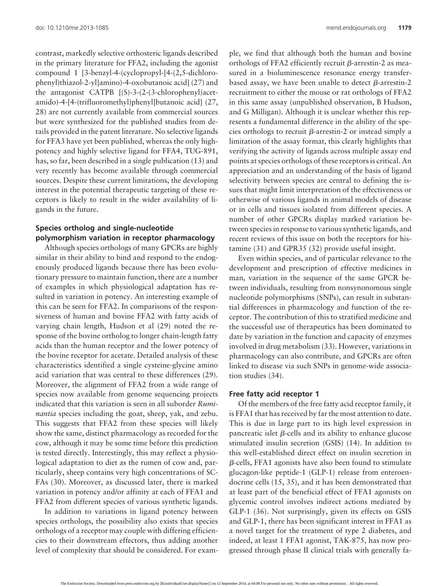contrast, markedly selective orthosteric ligands described in the primary literature for FFA2, including the agonist compound 1 [3-benzyl-4-(cyclopropyl-[4-(2,5-dichlorophenyl)thiazol-2-yl]amino)-4-oxobutanoic acid] (27) and the antagonist CATPB [(S)-3-(2-(3-chlorophenyl)acetamido)-4-[4-(trifluoromethyl)phenyl]butanoic acid] (27, 28) are not currently available from commercial sources but were synthesized for the published studies from details provided in the patent literature. No selective ligands for FFA3 have yet been published, whereas the only highpotency and highly selective ligand for FFA4, TUG-891, has, so far, been described in a single publication (13) and very recently has become available through commercial sources. Despite these current limitations, the developing interest in the potential therapeutic targeting of these receptors is likely to result in the wider availability of ligands in the future.

## **Species ortholog and single-nucleotide polymorphism variation in receptor pharmacology**

Although species orthologs of many GPCRs are highly similar in their ability to bind and respond to the endogenously produced ligands because there has been evolutionary pressure to maintain function, there are a number of examples in which physiological adaptation has resulted in variation in potency. An interesting example of this can be seen for FFA2. In comparisons of the responsiveness of human and bovine FFA2 with fatty acids of varying chain length, Hudson et al (29) noted the response of the bovine ortholog to longer chain-length fatty acids than the human receptor and the lower potency of the bovine receptor for acetate. Detailed analysis of these characteristics identified a single cysteine-glycine amino acid variation that was central to these differences (29). Moreover, the alignment of FFA2 from a wide range of species now available from genome sequencing projects indicated that this variation is seen in all suborder *Ruminantia* species including the goat, sheep, yak, and zebu. This suggests that FFA2 from these species will likely show the same, distinct pharmacology as recorded for the cow, although it may be some time before this prediction is tested directly. Interestingly, this may reflect a physiological adaptation to diet as the rumen of cow and, particularly, sheep contains very high concentrations of SC-FAs (30). Moreover, as discussed later, there is marked variation in potency and/or affinity at each of FFA1 and FFA2 from different species of various synthetic ligands.

In addition to variations in ligand potency between species orthologs, the possibility also exists that species orthologs of a receptor may couple with differing efficiencies to their downstream effectors, thus adding another level of complexity that should be considered. For exam-

ple, we find that although both the human and bovine orthologs of FFA2 efficiently recruit  $\beta$ -arrestin-2 as measured in a bioluminescence resonance energy transferbased assay, we have been unable to detect  $\beta$ -arrestin-2 recruitment to either the mouse or rat orthologs of FFA2 in this same assay (unpublished observation, B Hudson, and G Milligan). Although it is unclear whether this represents a fundamental difference in the ability of the species orthologs to recruit  $\beta$ -arrestin-2 or instead simply a limitation of the assay format, this clearly highlights that verifying the activity of ligands across multiple assay end points at species orthologs of these receptors is critical. An appreciation and an understanding of the basis of ligand selectivity between species are central to defining the issues that might limit interpretation of the effectiveness or otherwise of various ligands in animal models of disease or in cells and tissues isolated from different species. A number of other GPCRs display marked variation between species in response to various synthetic ligands, and recent reviews of this issue on both the receptors for histamine (31) and GPR35 (32) provide useful insight.

Even within species, and of particular relevance to the development and prescription of effective medicines in man, variation in the sequence of the same GPCR between individuals, resulting from nonsynonomous single nucleotide polymorphisms (SNPs), can result in substantial differences in pharmacology and function of the receptor. The contribution of this to stratified medicine and the successful use of therapeutics has been dominated to date by variation in the function and capacity of enzymes involved in drug metabolism (33). However, variations in pharmacology can also contribute, and GPCRs are often linked to disease via such SNPs in genome-wide association studies (34).

### **Free fatty acid receptor 1**

Of the members of the free fatty acid receptor family, it is FFA1 that has received by far the most attention to date. This is due in large part to its high level expression in pancreatic islet  $\beta$ -cells and its ability to enhance glucose stimulated insulin secretion (GSIS) (14). In addition to this well-established direct effect on insulin secretion in  $\beta$ -cells, FFA1 agonists have also been found to stimulate glucagon-like peptide-1 (GLP-1) release from enteroendocrine cells (15, 35), and it has been demonstrated that at least part of the beneficial effect of FFA1 agonists on glycemic control involves indirect actions mediated by GLP-1 (36). Not surprisingly, given its effects on GSIS and GLP-1, there has been significant interest in FFA1 as a novel target for the treatment of type 2 diabetes, and indeed, at least 1 FFA1 agonist, TAK-875, has now progressed through phase II clinical trials with generally fa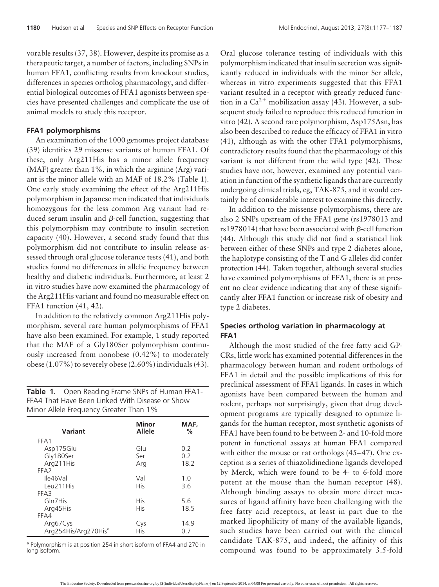vorable results (37, 38). However, despite its promise as a therapeutic target, a number of factors, including SNPs in human FFA1, conflicting results from knockout studies, differences in species ortholog pharmacology, and differential biological outcomes of FFA1 agonists between species have presented challenges and complicate the use of animal models to study this receptor.

### **FFA1 polymorphisms**

An examination of the 1000 genomes project database (39) identifies 29 missense variants of human FFA1. Of these, only Arg211His has a minor allele frequency (MAF) greater than 1%, in which the arginine (Arg) variant is the minor allele with an MAF of 18.2% (Table 1). One early study examining the effect of the Arg211His polymorphism in Japanese men indicated that individuals homozygous for the less common Arg variant had reduced serum insulin and  $\beta$ -cell function, suggesting that this polymorphism may contribute to insulin secretion capacity (40). However, a second study found that this polymorphism did not contribute to insulin release assessed through oral glucose tolerance tests (41), and both studies found no differences in allelic frequency between healthy and diabetic individuals. Furthermore, at least 2 in vitro studies have now examined the pharmacology of the Arg211His variant and found no measurable effect on FFA1 function (41, 42).

In addition to the relatively common Arg211His polymorphism, several rare human polymorphisms of FFA1 have also been examined. For example, 1 study reported that the MAF of a Gly180Ser polymorphism continuously increased from nonobese (0.42%) to moderately obese (1.07%) to severely obese (2.60%) individuals (43).

**Table 1.** Open Reading Frame SNPs of Human FFA1- FFA4 That Have Been Linked With Disease or Show Minor Allele Frequency Greater Than 1%

| Variant                          | Minor<br><b>Allele</b> | MAF,<br>% |
|----------------------------------|------------------------|-----------|
| FFA1                             |                        |           |
| Asp175Glu                        | Glu                    | 0.2       |
| Gly180Ser                        | Ser                    | 0.2       |
| Arg211His                        | Ara                    | 18.2      |
| FFA <sub>2</sub>                 |                        |           |
| lle46Val                         | Val                    | 1.0       |
| Leu211His                        | His                    | 3.6       |
| FFA3                             |                        |           |
| Gln7His                          | His                    | 5.6       |
| Arg45His                         | His                    | 18.5      |
| FFA4                             |                        |           |
| Arg67Cys                         | Cys                    | 14.9      |
| Arg254His/Arg270His <sup>a</sup> | His                    | 0.7       |

<sup>a</sup> Polymorphism is at position 254 in short isoform of FFA4 and 270 in long isoform.

Oral glucose tolerance testing of individuals with this polymorphism indicated that insulin secretion was significantly reduced in individuals with the minor Ser allele, whereas in vitro experiments suggested that this FFA1 variant resulted in a receptor with greatly reduced function in a  $Ca^{2+}$  mobilization assay (43). However, a subsequent study failed to reproduce this reduced function in vitro (42). A second rare polymorphism, Asp175Asn, has also been described to reduce the efficacy of FFA1 in vitro (41), although as with the other FFA1 polymorphisms, contradictory results found that the pharmacology of this variant is not different from the wild type (42). These studies have not, however, examined any potential variation in function of the synthetic ligands that are currently undergoing clinical trials, eg, TAK-875, and it would certainly be of considerable interest to examine this directly.

In addition to the missense polymorphisms, there are also 2 SNPs upstream of the FFA1 gene (rs1978013 and rs1978014) that have been associated with  $\beta$ -cell function (44). Although this study did not find a statistical link between either of these SNPs and type 2 diabetes alone, the haplotype consisting of the T and G alleles did confer protection (44). Taken together, although several studies have examined polymorphisms of FFA1, there is at present no clear evidence indicating that any of these significantly alter FFA1 function or increase risk of obesity and type 2 diabetes.

### **Species ortholog variation in pharmacology at FFA1**

Although the most studied of the free fatty acid GP-CRs, little work has examined potential differences in the pharmacology between human and rodent orthologs of FFA1 in detail and the possible implications of this for preclinical assessment of FFA1 ligands. In cases in which agonists have been compared between the human and rodent, perhaps not surprisingly, given that drug development programs are typically designed to optimize ligands for the human receptor, most synthetic agonists of FFA1 have been found to be between 2- and 10-fold more potent in functional assays at human FFA1 compared with either the mouse or rat orthologs  $(45-47)$ . One exception is a series of thiazolidinedione ligands developed by Merck, which were found to be 4- to 6-fold more potent at the mouse than the human receptor (48). Although binding assays to obtain more direct measures of ligand affinity have been challenging with the free fatty acid receptors, at least in part due to the marked lipophilicity of many of the available ligands, such studies have been carried out with the clinical candidate TAK-875, and indeed, the affinity of this compound was found to be approximately 3.5-fold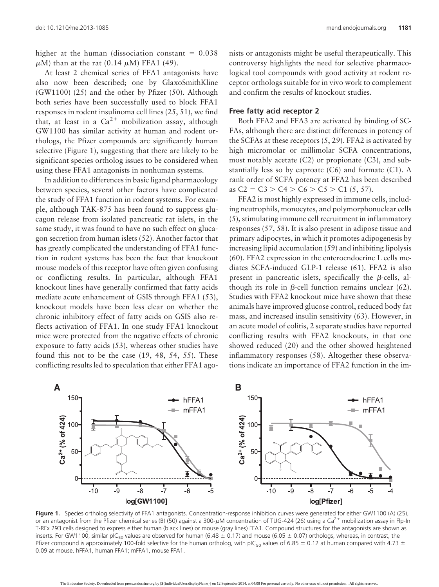higher at the human (dissociation constant  $= 0.038$  $\mu$ M) than at the rat (0.14  $\mu$ M) FFA1 (49).

At least 2 chemical series of FFA1 antagonists have also now been described; one by GlaxoSmithKline (GW1100) (25) and the other by Pfizer (50). Although both series have been successfully used to block FFA1 responses in rodent insulinoma cell lines (25, 51), we find that, at least in a  $Ca^{2+}$  mobilization assay, although GW1100 has similar activity at human and rodent orthologs, the Pfizer compounds are significantly human selective (Figure 1), suggesting that there are likely to be significant species ortholog issues to be considered when using these FFA1 antagonists in nonhuman systems.

In addition to differences in basic ligand pharmacology between species, several other factors have complicated the study of FFA1 function in rodent systems. For example, although TAK-875 has been found to suppress glucagon release from isolated pancreatic rat islets, in the same study, it was found to have no such effect on glucagon secretion from human islets (52). Another factor that has greatly complicated the understanding of FFA1 function in rodent systems has been the fact that knockout mouse models of this receptor have often given confusing or conflicting results. In particular, although FFA1 knockout lines have generally confirmed that fatty acids mediate acute enhancement of GSIS through FFA1 (53), knockout models have been less clear on whether the chronic inhibitory effect of fatty acids on GSIS also reflects activation of FFA1. In one study FFA1 knockout mice were protected from the negative effects of chronic exposure to fatty acids (53), whereas other studies have found this not to be the case (19, 48, 54, 55). These conflicting results led to speculation that either FFA1 agonists or antagonists might be useful therapeutically. This controversy highlights the need for selective pharmacological tool compounds with good activity at rodent receptor orthologs suitable for in vivo work to complement and confirm the results of knockout studies.

#### **Free fatty acid receptor 2**

Both FFA2 and FFA3 are activated by binding of SC-FAs, although there are distinct differences in potency of the SCFAs at these receptors  $(5, 29)$ . FFA2 is activated by high micromolar or millimolar SCFA concentrations, most notably acetate (C2) or propionate (C3), and substantially less so by caproate (C6) and formate (C1). A rank order of SCFA potency at FFA2 has been described as C2 = C3 > C4 > C6 > C5 > C1 (5, 57).

FFA2 is most highly expressed in immune cells, including neutrophils, monocytes, and polymorphonuclear cells (5), stimulating immune cell recruitment in inflammatory responses (57, 58). It is also present in adipose tissue and primary adipocytes, in which it promotes adipogenesis by increasing lipid accumulation (59) and inhibiting lipolysis (60). FFA2 expression in the enteroendocrine L cells mediates SCFA-induced GLP-1 release (61). FFA2 is also present in pancreatic islets, specifically the  $\beta$ -cells, although its role in  $\beta$ -cell function remains unclear (62). Studies with FFA2 knockout mice have shown that these animals have improved glucose control, reduced body fat mass, and increased insulin sensitivity (63). However, in an acute model of colitis, 2 separate studies have reported conflicting results with FFA2 knockouts, in that one showed reduced (20) and the other showed heightened inflammatory responses (58). Altogether these observations indicate an importance of FFA2 function in the im-



Figure 1. Species ortholog selectivity of FFA1 antagonists. Concentration-response inhibition curves were generated for either GW1100 (A) (25), or an antagonist from the Pfizer chemical series (B) (50) against a 300- $\mu$ M concentration of TUG-424 (26) using a Ca<sup>2+</sup> mobilization assay in Flp-In T-REx 293 cells designed to express either human (black lines) or mouse (gray lines) FFA1. Compound structures for the antagonists are shown as inserts. For GW1100, similar pIC<sub>50</sub> values are observed for human (6.48  $\pm$  0.17) and mouse (6.05  $\pm$  0.07) orthologs, whereas, in contrast, the Pfizer compound is approximately 100-fold selective for the human ortholog, with pIC<sub>50</sub> values of 6.85  $\pm$  0.12 at human compared with 4.73  $\pm$ 0.09 at mouse. hFFA1, human FFA1; mFFA1, mouse FFA1.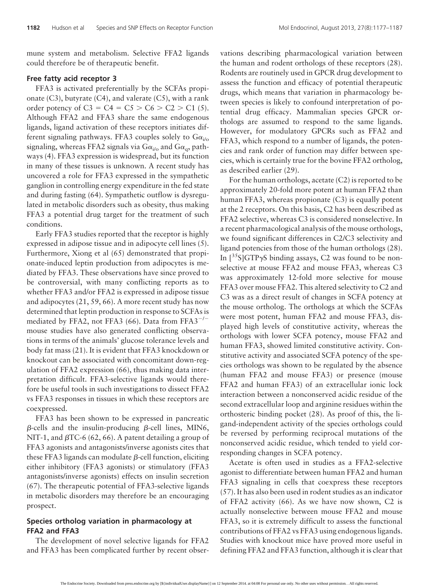mune system and metabolism. Selective FFA2 ligands could therefore be of therapeutic benefit.

### **Free fatty acid receptor 3**

FFA3 is activated preferentially by the SCFAs propionate  $(C3)$ , butyrate  $(C4)$ , and valerate  $(C5)$ , with a rank order potency of  $C3 = C4 = C5 > C6 > C2 > C1$  (5). Although FFA2 and FFA3 share the same endogenous ligands, ligand activation of these receptors initiates different signaling pathways. FFA3 couples solely to  $Ga_{i\prime}$ signaling, whereas FFA2 signals via G $\alpha_{i/0}$  and G $\alpha_{q}$ , pathways (4). FFA3 expression is widespread, but its function in many of these tissues is unknown. A recent study has uncovered a role for FFA3 expressed in the sympathetic ganglion in controlling energy expenditure in the fed state and during fasting (64). Sympathetic outflow is dysregulated in metabolic disorders such as obesity, thus making FFA3 a potential drug target for the treatment of such conditions.

Early FFA3 studies reported that the receptor is highly expressed in adipose tissue and in adipocyte cell lines (5). Furthermore, Xiong et al (65) demonstrated that propionate-induced leptin production from adipocytes is mediated by FFA3. These observations have since proved to be controversial, with many conflicting reports as to whether FFA3 and/or FFA2 is expressed in adipose tissue and adipocytes (21, 59, 66). A more recent study has now determined that leptin production in response to SCFAs is mediated by FFA2, not FFA3 (66). Data from FFA3 $^{-/-}$ mouse studies have also generated conflicting observations in terms of the animals' glucose tolerance levels and body fat mass (21). It is evident that FFA3 knockdown or knockout can be associated with concomitant down-regulation of FFA2 expression (66), thus making data interpretation difficult. FFA3-selective ligands would therefore be useful tools in such investigations to dissect FFA2 vs FFA3 responses in tissues in which these receptors are coexpressed.

FFA3 has been shown to be expressed in pancreatic  $\beta$ -cells and the insulin-producing  $\beta$ -cell lines, MIN6, NIT-1, and  $\beta$ TC-6 (62, 66). A patent detailing a group of FFA3 agonists and antagonists/inverse agonists cites that these FFA3 ligands can modulate  $\beta$ -cell function, eliciting either inhibitory (FFA3 agonists) or stimulatory (FFA3 antagonists/inverse agonists) effects on insulin secretion (67). The therapeutic potential of FFA3-selective ligands in metabolic disorders may therefore be an encouraging prospect.

### **Species ortholog variation in pharmacology at FFA2 and FFA3**

The development of novel selective ligands for FFA2 and FFA3 has been complicated further by recent obser-

vations describing pharmacological variation between the human and rodent orthologs of these receptors (28). Rodents are routinely used in GPCR drug development to assess the function and efficacy of potential therapeutic drugs, which means that variation in pharmacology between species is likely to confound interpretation of potential drug efficacy. Mammalian species GPCR orthologs are assumed to respond to the same ligands. However, for modulatory GPCRs such as FFA2 and FFA3, which respond to a number of ligands, the potencies and rank order of function may differ between species, which is certainly true for the bovine FFA2 ortholog, as described earlier (29).

For the human orthologs, acetate (C2) is reported to be approximately 20-fold more potent at human FFA2 than human FFA3, whereas propionate (C3) is equally potent at the 2 receptors. On this basis, C2 has been described as FFA2 selective, whereas C3 is considered nonselective. In a recent pharmacological analysis of the mouse orthologs, we found significant differences in C2/C3 selectivity and ligand potencies from those of the human orthologs (28). In  $\left[^{35}S\right]GTP\gamma S$  binding assays, C2 was found to be nonselective at mouse FFA2 and mouse FFA3, whereas C3 was approximately 12-fold more selective for mouse FFA3 over mouse FFA2. This altered selectivity to C2 and C3 was as a direct result of changes in SCFA potency at the mouse ortholog. The orthologs at which the SCFAs were most potent, human FFA2 and mouse FFA3, displayed high levels of constitutive activity, whereas the orthologs with lower SCFA potency, mouse FFA2 and human FFA3, showed limited constitutive activity. Constitutive activity and associated SCFA potency of the species orthologs was shown to be regulated by the absence (human FFA2 and mouse FFA3) or presence (mouse FFA2 and human FFA3) of an extracellular ionic lock interaction between a nonconserved acidic residue of the second extracellular loop and arginine residues within the orthosteric binding pocket (28). As proof of this, the ligand-independent activity of the species orthologs could be reversed by performing reciprocal mutations of the nonconserved acidic residue, which tended to yield corresponding changes in SCFA potency.

Acetate is often used in studies as a FFA2-selective agonist to differentiate between human FFA2 and human FFA3 signaling in cells that coexpress these receptors (57). It has also been used in rodent studies as an indicator of FFA2 activity (66). As we have now shown, C2 is actually nonselective between mouse FFA2 and mouse FFA3, so it is extremely difficult to assess the functional contributions of FFA2 vs FFA3 using endogenous ligands. Studies with knockout mice have proved more useful in defining FFA2 and FFA3 function, although it is clear that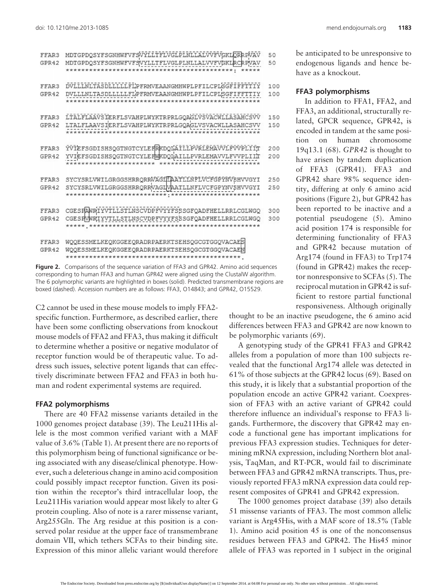| FFAR3<br>GPR42 | MDTGPDQSYFSGNHWFVFSVYLLTFLVGLPLNLLALVVFVGKLORRPVAV<br>MDTGPDOSYFSGNHWFVFSVYLLTFLVGLPLNLLALVVFVGKLRCRPVAV     | 50<br>50   |
|----------------|--------------------------------------------------------------------------------------------------------------|------------|
| FFAR3<br>GPR42 | DVLLLNLTASDLLLLLFLPFRMVEAANGMHWPLPFILCPLSGFIFFTTIY<br>DVLLLNLTASDLLLLLFLPFRMVEAANGMHWPLPFILCPLSGFIFF         | 100<br>100 |
| FFAR3<br>GPR42 | LTALFLAAVSIERFLSVAHPLWYKTRPRLGQAGLVSVACWLLASAHCSVV<br>LTALFLAAVSIERFLSVAHPLWYKTRPRLGQAGLVS<br>VACWLLASAHCSVV | 150<br>150 |
| FFAR3<br>GPR42 | YVIEFSGDISHSQGTNGTCYLEFRKDQLAILLPVRLEMAVVLFVVPLIIT<br>YVIEFSGDISHSQGTNGTCYLEFWKDQLAILLPVRLEMAVVLFVVPLIIT     | 200<br>200 |
| FFAR3<br>GPR42 | SYCYSRLVWILGRGGSHRRORRWAGILLAATLLNFLVCFGPYNVBHVVGYI<br>SYCYSRLVWILGRGGSHRRQRRWAGIWAATLLNFLVCFGPYNV\$HVVGYI   | 250<br>250 |
| FFAR3<br>GPR42 | CGESPAWRIYVTLLSTLNSCVDPFVYYFSSSGFQADFHELLRRLCGLWGQ<br>CGESPVWRIYVTLLSTLNSCVDPFVYYFSSSGFQADFHELLRRLCGLWGQ     | 300<br>300 |
| FFAR3<br>GPR42 | WQQESSMELKEQKGGEEQRADRPAERKTSEHSQGCGTGGQVACAES<br>WQQESSMELKEQKGGEEQRADRPAERKTSEHSQGCGTGGQVACAEN             |            |

**Figure 2.** Comparisons of the sequence variation of FFA3 and GPR42. Amino acid sequences corresponding to human FFA3 and human GPR42 were aligned using the ClustalW algorithm. The 6 polymorphic variants are highlighted in boxes (solid). Predicted transmembrane regions are boxed (dashed). Accession numbers are as follows: FFA3, O14843; and GPR42, O15529.

C2 cannot be used in these mouse models to imply FFA2 specific function. Furthermore, as described earlier, there have been some conflicting observations from knockout mouse models of FFA2 and FFA3, thus making it difficult to determine whether a positive or negative modulator of receptor function would be of therapeutic value. To address such issues, selective potent ligands that can effectively discriminate between FFA2 and FFA3 in both human and rodent experimental systems are required.

#### **FFA2 polymorphisms**

There are 40 FFA2 missense variants detailed in the 1000 genomes project database (39). The Leu211His allele is the most common verified variant with a MAF value of 3.6% (Table 1). At present there are no reports of this polymorphism being of functional significance or being associated with any disease/clinical phenotype. However, such a deleterious change in amino acid composition could possibly impact receptor function. Given its position within the receptor's third intracellular loop, the Leu211His variation would appear most likely to alter G protein coupling. Also of note is a rarer missense variant, Arg255Gln. The Arg residue at this position is a conserved polar residue at the upper face of transmembrane domain VII, which tethers SCFAs to their binding site. Expression of this minor allelic variant would therefore be anticipated to be unresponsive to endogenous ligands and hence behave as a knockout.

### **FFA3 polymorphisms**

In addition to FFA1, FFA2, and FFA3, an additional, structurally related, GPCR sequence, GPR42, is encoded in tandem at the same position on human chromosome 19q13.1 (68). *GPR42* is thought to have arisen by tandem duplication of FFA3 (GPR41). FFA3 and GPR42 share 98% sequence identity, differing at only 6 amino acid positions (Figure 2), but GPR42 has been reported to be inactive and a potential pseudogene (5). Amino acid position 174 is responsible for determining functionality of FFA3 and GPR42 because mutation of Arg174 (found in FFA3) to Trp174 (found in GPR42) makes the receptor nonresponsive to SCFAs (5). The reciprocal mutation in GPR42 is sufficient to restore partial functional responsiveness. Although originally

thought to be an inactive pseudogene, the 6 amino acid differences between FFA3 and GPR42 are now known to be polymorphic variants (69).

A genotyping study of the GPR41 FFA3 and GPR42 alleles from a population of more than 100 subjects revealed that the functional Arg174 allele was detected in 61% of those subjects at the GPR42 locus (69). Based on this study, it is likely that a substantial proportion of the population encode an active GPR42 variant. Coexpression of FFA3 with an active variant of GPR42 could therefore influence an individual's response to FFA3 ligands. Furthermore, the discovery that GPR42 may encode a functional gene has important implications for previous FFA3 expression studies. Techniques for determining mRNA expression, including Northern blot analysis, TaqMan, and RT-PCR, would fail to discriminate between FFA3 and GPR42 mRNA transcripts. Thus, previously reported FFA3 mRNA expression data could represent composites of GPR41 and GPR42 expression.

The 1000 genomes project database (39) also details 51 missense variants of FFA3. The most common allelic variant is Arg45His, with a MAF score of 18.5% (Table 1). Amino acid position 45 is one of the nonconsensus residues between FFA3 and GPR42. The His45 minor allele of FFA3 was reported in 1 subject in the original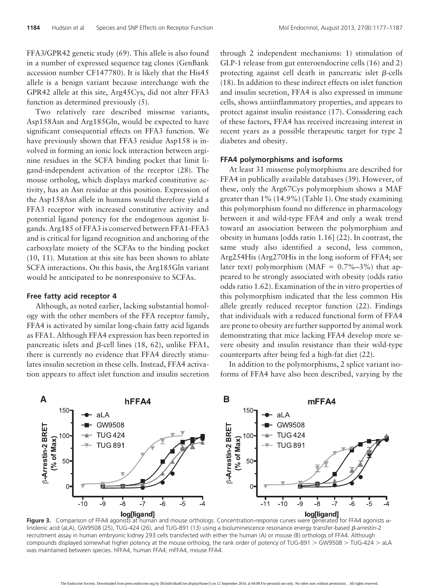FFA3/GPR42 genetic study (69). This allele is also found in a number of expressed sequence tag clones (GenBank accession number CF147780). It is likely that the His45 allele is a benign variant because interchange with the GPR42 allele at this site, Arg45Cys, did not alter FFA3 function as determined previously (5).

Two relatively rare described missense variants, Asp158Asn and Arg185Gln, would be expected to have significant consequential effects on FFA3 function. We have previously shown that FFA3 residue Asp158 is involved in forming an ionic lock interaction between arginine residues in the SCFA binding pocket that limit ligand-independent activation of the receptor (28). The mouse ortholog, which displays marked constitutive activity, has an Asn residue at this position. Expression of the Asp158Asn allele in humans would therefore yield a FFA3 receptor with increased constitutive activity and potential ligand potency for the endogenous agonist ligands. Arg185 of FFA3 is conserved between FFA1-FFA3 and is critical for ligand recognition and anchoring of the carboxylate moiety of the SCFAs to the binding pocket (10, 11). Mutation at this site has been shown to ablate SCFA interactions. On this basis, the Arg185Gln variant would be anticipated to be nonresponsive to SCFAs.

### **Free fatty acid receptor 4**

Although, as noted earlier, lacking substantial homology with the other members of the FFA receptor family, FFA4 is activated by similar long-chain fatty acid ligands as FFA1. Although FFA4 expression has been reported in pancreatic islets and  $\beta$ -cell lines (18, 62), unlike FFA1, there is currently no evidence that FFA4 directly stimulates insulin secretion in these cells. Instead, FFA4 activation appears to affect islet function and insulin secretion through 2 independent mechanisms: 1) stimulation of GLP-1 release from gut enteroendocrine cells (16) and 2) protecting against cell death in pancreatic islet  $\beta$ -cells (18). In addition to these indirect effects on islet function and insulin secretion, FFA4 is also expressed in immune cells, shows antiinflammatory properties, and appears to protect against insulin resistance (17). Considering each of these factors, FFA4 has received increasing interest in recent years as a possible therapeutic target for type 2 diabetes and obesity.

### **FFA4 polymorphisms and isoforms**

At least 31 missense polymorphisms are described for FFA4 in publically available databases (39). However, of these, only the Arg67Cys polymorphism shows a MAF greater than 1% (14.9%) (Table 1). One study examining this polymorphism found no difference in pharmacology between it and wild-type FFA4 and only a weak trend toward an association between the polymorphism and obesity in humans [odds ratio 1.16] (22). In contrast, the same study also identified a second, less common, Arg254His (Arg270His in the long isoform of FFA4; see later text) polymorphism (MAF =  $0.7\%$ –3%) that appeared to be strongly associated with obesity (odds ratio odds ratio 1.62). Examination of the in vitro properties of this polymorphism indicated that the less common His allele greatly reduced receptor function (22). Findings that individuals with a reduced functional form of FFA4 are prone to obesity are further supported by animal work demonstrating that mice lacking FFA4 develop more severe obesity and insulin resistance than their wild-type counterparts after being fed a high-fat diet (22).

In addition to the polymorphisms, 2 splice variant isoforms of FFA4 have also been described, varying by the



**Figure 3.** Comparison of FFA4 agonists at human and mouse orthologs. Concentration-response curves were generated for FFA4 agonists  $\alpha$ linolenic acid (aLA), GW9508 (25), TUG-424 (26), and TUG-891 (13) using a bioluminescence resonance energy transfer-based  $\beta$ -arrestin-2 recruitment assay in human embryonic kidney 293 cells transfected with either the human (A) or mouse (B) orthologs of FFA4. Although compounds displayed somewhat higher potency at the mouse ortholog, the rank order of potency of TUG-891  $>$  GW9508  $>$  TUG-424  $>$  aLA was maintained between species. hFFA4, human FFA4; mFFA4, mouse FFA4.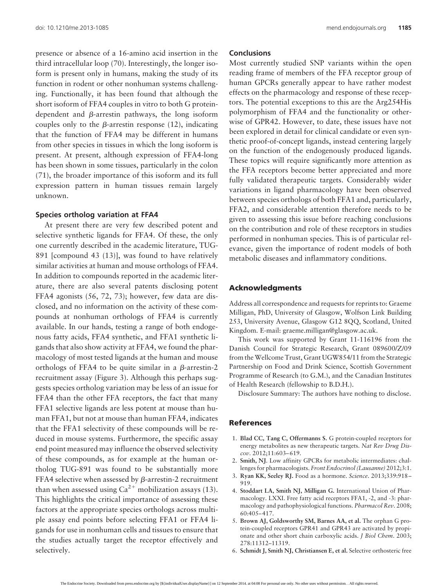presence or absence of a 16-amino acid insertion in the third intracellular loop (70). Interestingly, the longer isoform is present only in humans, making the study of its function in rodent or other nonhuman systems challenging. Functionally, it has been found that although the short isoform of FFA4 couples in vitro to both G proteindependent and  $\beta$ -arrestin pathways, the long isoform couples only to the  $\beta$ -arrestin response (12), indicating that the function of FFA4 may be different in humans from other species in tissues in which the long isoform is present. At present, although expression of FFA4-long has been shown in some tissues, particularly in the colon (71), the broader importance of this isoform and its full expression pattern in human tissues remain largely unknown.

### **Species ortholog variation at FFA4**

At present there are very few described potent and selective synthetic ligands for FFA4. Of these, the only one currently described in the academic literature, TUG-891 [compound 43 (13)], was found to have relatively similar activities at human and mouse orthologs of FFA4. In addition to compounds reported in the academic literature, there are also several patents disclosing potent FFA4 agonists (56, 72, 73); however, few data are disclosed, and no information on the activity of these compounds at nonhuman orthologs of FFA4 is currently available. In our hands, testing a range of both endogenous fatty acids, FFA4 synthetic, and FFA1 synthetic ligands that also show activity at FFA4, we found the pharmacology of most tested ligands at the human and mouse orthologs of FFA4 to be quite similar in a  $\beta$ -arrestin-2 recruitment assay (Figure 3). Although this perhaps suggests species ortholog variation may be less of an issue for FFA4 than the other FFA receptors, the fact that many FFA1 selective ligands are less potent at mouse than human FFA1, but not at mouse than human FFA4, indicates that the FFA1 selectivity of these compounds will be reduced in mouse systems. Furthermore, the specific assay end point measured may influence the observed selectivity of these compounds, as for example at the human ortholog TUG-891 was found to be substantially more FFA4 selective when assessed by  $\beta$ -arrestin-2 recruitment than when assessed using  $Ca^{2+}$  mobilization assays (13). This highlights the critical importance of assessing these factors at the appropriate species orthologs across multiple assay end points before selecting FFA1 or FFA4 ligands for use in nonhuman cells and tissues to ensure that the studies actually target the receptor effectively and selectively.

### **Conclusions**

Most currently studied SNP variants within the open reading frame of members of the FFA receptor group of human GPCRs generally appear to have rather modest effects on the pharmacology and response of these receptors. The potential exceptions to this are the Arg254His polymorphism of FFA4 and the functionality or otherwise of GPR42. However, to date, these issues have not been explored in detail for clinical candidate or even synthetic proof-of-concept ligands, instead centering largely on the function of the endogenously produced ligands. These topics will require significantly more attention as the FFA receptors become better appreciated and more fully validated therapeutic targets. Considerably wider variations in ligand pharmacology have been observed between species orthologs of both FFA1 and, particularly, FFA2, and considerable attention therefore needs to be given to assessing this issue before reaching conclusions on the contribution and role of these receptors in studies performed in nonhuman species. This is of particular relevance, given the importance of rodent models of both metabolic diseases and inflammatory conditions.

### **Acknowledgments**

Address all correspondence and requests for reprints to: Graeme Milligan, PhD, University of Glasgow, Wolfson Link Building 253, University Avenue, Glasgow G12 8QQ, Scotland, United Kingdom. E-mail: [graeme.milligan@glasgow.ac.uk.](mailto:graeme.milligan@glasgow.ac.uk)

This work was supported by Grant 11-116196 from the Danish Council for Strategic Research, Grant 089600/Z/09 from the Wellcome Trust, Grant UGW854/11 from the Strategic Partnership on Food and Drink Science, Scottish Government Programme of Research (to G.M.), and the Canadian Institutes of Health Research (fellowship to B.D.H.).

Disclosure Summary: The authors have nothing to disclose.

#### **References**

- 1. **Blad CC, Tang C, Offermanns S.** G protein-coupled receptors for energy metabolites as new therapeutic targets. *Nat Rev Drug Discov*. 2012;11:603– 619.
- 2. **Smith, NJ**. Low affinity GPCRs for metabolic intermediates: challenges for pharmacologists. *Front Endocrinol (Lausanne)* 2012;3:1.
- 3. **Ryan KK, Seeley RJ.** Food as a hormone. *Science*. 2013;339:918 919.
- 4. **Stoddart LA, Smith NJ, Milligan G.** International Union of Pharmacology. LXXI. Free fatty acid receptors FFA1, -2, and -3: pharmacology and pathophysiological functions. *Pharmacol Rev*. 2008; 60:405– 417.
- 5. **Brown AJ, Goldsworthy SM, Barnes AA, et al.** The orphan G protein-coupled receptors GPR41 and GPR43 are activated by propionate and other short chain carboxylic acids. *J Biol Chem*. 2003; 278:11312–11319.
- 6. **Schmidt J, Smith NJ, Christiansen E, et al.** Selective orthosteric free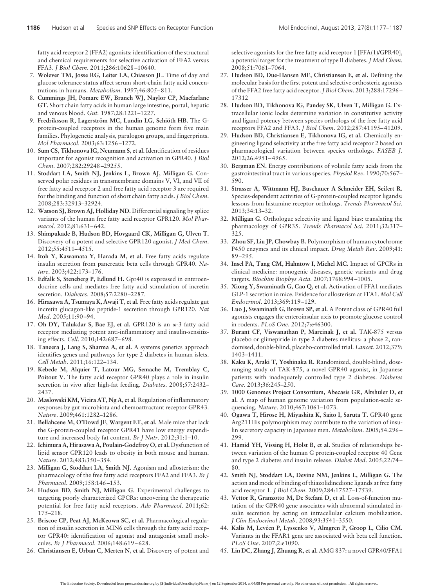fatty acid receptor 2 (FFA2) agonists: identification of the structural and chemical requirements for selective activation of FFA2 versus FFA3. *J Biol Chem*. 2011;286:10628 –10640.

- 7. **Wolever TM, Josse RG, Leiter LA, Chiasson JL.** Time of day and glucose tolerance status affect serum short-chain fatty acid concentrations in humans. *Metabolism*. 1997;46:805– 811.
- 8. **Cummings JH, Pomare EW, Branch WJ, Naylor CP, Macfarlane GT.** Short chain fatty acids in human large intestine, portal, hepatic and venous blood. *Gut.* 1987;28:1221–1227.
- 9. **Fredriksson R, Lagerström MC, Lundin LG, Schiöth HB.** The Gprotein-coupled receptors in the human genome form five main families. Phylogenetic analysis, paralogon groups, and fingerprints. *Mol Pharmacol*. 2003;63:1256 –1272.
- 10. **Sum CS, Tikhonova IG, Neumann S, et al.** Identification of residues important for agonist recognition and activation in GPR40. *J Biol Chem*. 2007;282:29248 –29255.
- 11. **Stoddart LA, Smith NJ, Jenkins L, Brown AJ, Milligan G.** Conserved polar residues in transmembrane domains V, VI, and VII of free fatty acid receptor 2 and free fatty acid receptor 3 are required for the binding and function of short chain fatty acids. *J Biol Chem*. 2008;283:32913–32924.
- 12. **Watson SJ, Brown AJ, Holliday ND.** Differential signaling by splice variants of the human free fatty acid receptor GPR120. *Mol Pharmacol*. 2012;81:631– 642.
- 13. **Shimpukade B, Hudson BD, Hovgaard CK, Milligan G, Ulven T.** Discovery of a potent and selective GPR120 agonist. *J Med Chem*. 2012;55:4511– 4515.
- 14. **Itoh Y, Kawamata Y, Harada M, et al.** Free fatty acids regulate insulin secretion from pancreatic beta cells through GPR40. *Nature*. 2003;422:173–176.
- 15. **Edfalk S, Steneberg P, Edlund H.** Gpr40 is expressed in enteroendocrine cells and mediates free fatty acid stimulation of incretin secretion. *Diabetes*. 2008;57:2280 –2287.
- 16. **Hirasawa A, Tsumaya K, Awaji T, et al.** Free fatty acids regulate gut incretin glucagon-like peptide-1 secretion through GPR120. *Nat Med*. 2005;11:90 –94.
- 17. Oh DY, Talukdar S, Bae EJ, et al. GPR120 is an  $\omega$ -3 fatty acid receptor mediating potent anti-inflammatory and insulin-sensitizing effects. *Cell*. 2010;142:687– 698.
- 18. **Taneera J, Lang S, Sharma A, et al.** A systems genetics approach identifies genes and pathways for type 2 diabetes in human islets. *Cell Metab*. 2011;16:122–134.
- 19. **Kebede M, Alquier T, Latour MG, Semache M, Tremblay C, Poitout V.** The fatty acid receptor GPR40 plays a role in insulin secretion in vivo after high-fat feeding. *Diabetes*. 2008;57:2432– 2437.
- 20. **Maslowski KM, Vieira AT, Ng A, et al.** Regulation of inflammatory responses by gut microbiota and chemoattractant receptor GPR43. *Nature*. 2009;461:1282–1286.
- 21. **Bellahcene M, O'Dowd JF, Wargent ET, et al.** Male mice that lack the G-protein-coupled receptor GPR41 have low energy expenditure and increased body fat content. *Br J Nutr*. 2012;31:1–10.
- 22. **Ichimura A, Hirasawa A, Poulain-Godefroy O, et al.** Dysfunction of lipid sensor GPR120 leads to obesity in both mouse and human. *Nature*. 2012;483:350 –354.
- 23. **Milligan G, Stoddart LA, Smith NJ.** Agonism and allosterism: the pharmacology of the free fatty acid receptors FFA2 and FFA3. *Br J Pharmacol*. 2009;158:146 –153.
- 24. **Hudson BD, Smith NJ, Milligan G.** Experimental challenges to targeting poorly characterized GPCRs: uncovering the therapeutic potential for free fatty acid receptors. *Adv Pharmacol*. 2011;62: 175–218.
- 25. **Briscoe CP, Peat AJ, McKeown SC, et al.** Pharmacological regulation of insulin secretion in MIN6 cells through the fatty acid receptor GPR40: identification of agonist and antagonist small molecules. *Br J Pharmacol*. 2006;148:619 – 628.
- 26. **Christiansen E, Urban C, Merten N, et al.** Discovery of potent and

selective agonists for the free fatty acid receptor 1 [FFA(1)/GPR40], a potential target for the treatment of type II diabetes. *J Med Chem*. 2008;51:7061–7064.

- 27. **Hudson BD, Due-Hansen ME, Christiansen E, et al.** Defining the molecular basis for the first potent and selective orthosteric agonists of the FFA2 free fatty acid receptor.*J Biol Chem.* 2013;288:17296 – 17312
- 28. **Hudson BD, Tikhonova IG, Pandey SK, Ulven T, Milligan G.** Extracellular ionic locks determine variation in constitutive activity and ligand potency between species orthologs of the free fatty acid receptors FFA2 and FFA3. *J Biol Chem*. 2012;287:41195– 41209.
- 29. **Hudson BD, Christiansen E, Tikhonova IG, et al.** Chemically engineering ligand selectivity at the free fatty acid receptor 2 based on pharmacological variation between species orthologs. *FASEB J*. 2012;26:4951– 4965.
- 30. **Bergman EN.** Energy contributions of volatile fatty acids from the gastrointestinal tract in various species. *Physiol Rev*. 1990;70:567– 590.
- 31. **Strasser A, Wittmann HJ, Buschauer A Schneider EH, Seifert R.** Species-dependent activities of G-protein-coupled receptor ligands: lessons from histamine receptor orthologs. *Trends Pharmacol Sci*. 2013;34:13–32.
- 32. **Milligan G.** Orthologue selectivity and ligand bias: translating the pharmacology of GPR35. *Trends Pharmacol Sci*. 2011;32:317– 325.
- 33. **Zhou SF, Liu JP, Chowbay B.** Polymorphism of human cytochrome P450 enzymes and its clinical impact. *Drug Metab Rev*. 2009;41: 89 –295.
- 34. **Insel PA, Tang CM, Hahntow I, Michel MC.** Impact of GPCRs in clinical medicine: monogenic diseases, genetic variants and drug targets. *Biochim Biophys Acta*. 2007;1768:994 –1005.
- 35. **Xiong Y, Swaminath G, Cao Q, et al.** Activation of FFA1 mediates GLP-1 secretion in mice. Evidence for allosterism at FFA1. *Mol Cell Endocrinol*. 2013;369:119 –129.
- 36. **Luo J, Swaminath G, Brown SP, et al.** A Potent class of GPR40 full agonists engages the enteroinsular axis to promote glucose control in rodents. *PLoS One*. 2012;7:e46300.
- 37. **Burant CF, Viswanathan P, Marcinak J, et al.** TAK-875 versus placebo or glimepiride in type 2 diabetes mellitus: a phase 2, randomised, double-blind, placebo-controlled trial. *Lancet*. 2012;379: 1403–1411.
- 38. **Kaku K, Araki T, Yoshinaka R.** Randomized, double-blind, doseranging study of TAK-875, a novel GPR40 agonist, in Japanese patients with inadequately controlled type 2 diabetes. *Diabetes Care*. 2013;36:245–250.
- 39. **1000 Genomes Project Consortium, Abecasis GR, Altshuler D, et al.** A map of human genome variation from population-scale sequencing. *Nature*. 2010;467:1061–1073.
- 40. **Ogawa T, Hirose H, Miyashita K, Saito I, Saruta T.** GPR40 gene Arg211His polymorphism may contribute to the variation of insulin secretory capacity in Japanese men. *Metabolism*. 2005;54:296 – 299.
- 41. **Hamid YH, Vissing H, Holst B, et al.** Studies of relationships between variation of the human G protein-coupled receptor 40 Gene and type 2 diabetes and insulin release. *Diabet Med*. 2005;22:74 – 80.
- 42. **Smith NJ, Stoddart LA, Devine NM, Jenkins L, Milligan G.** The action and mode of binding of thiazolidinedione ligands at free fatty acid receptor 1. *J Biol Chem*. 2009;284:17527–17539.
- 43. **Vettor R, Granzotto M, De Stefani D, et al.** Loss-of-function mutation of the GPR40 gene associates with abnormal stimulated insulin secretion by acting on intracellular calcium mobilization. *J Clin Endocrinol Metab*. 2008;93:3541–3550.
- 44. **Kalis M, Levéen P, Lyssenko V, Almgren P, Groop L, Cilio CM.** Variants in the FFAR1 gene are associated with beta cell function. *PLoS One*. 2007;2:e1090.
- 45. **Lin DC, Zhang J, Zhuang R, et al.** AMG 837: a novel GPR40/FFA1